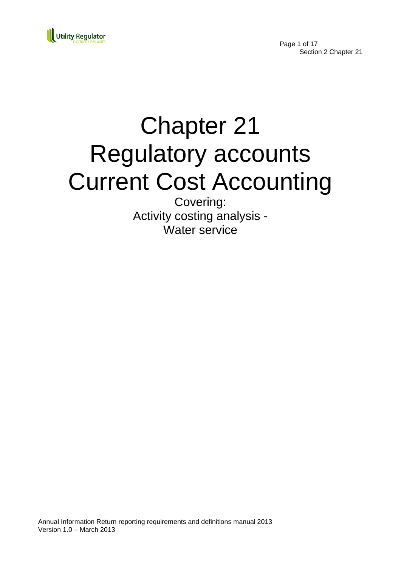

Page 1 of 17 Section 2 Chapter 21

# Chapter 21 Regulatory accounts Current Cost Accounting

Covering: Activity costing analysis - Water service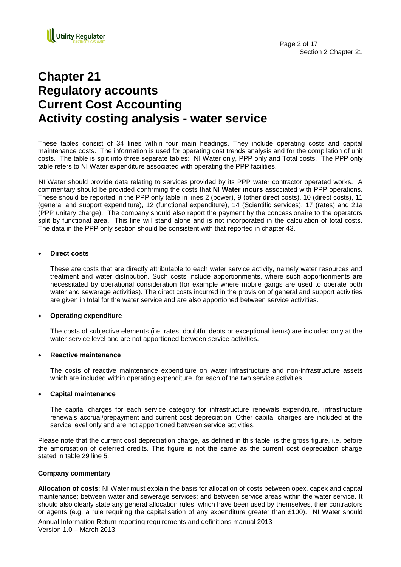

# **Chapter 21 Regulatory accounts Current Cost Accounting Activity costing analysis - water service**

These tables consist of 34 lines within four main headings. They include operating costs and capital maintenance costs. The information is used for operating cost trends analysis and for the compilation of unit costs. The table is split into three separate tables: NI Water only, PPP only and Total costs. The PPP only table refers to NI Water expenditure associated with operating the PPP facilities.

NI Water should provide data relating to services provided by its PPP water contractor operated works. A commentary should be provided confirming the costs that **NI Water incurs** associated with PPP operations. These should be reported in the PPP only table in lines 2 (power), 9 (other direct costs), 10 (direct costs), 11 (general and support expenditure), 12 (functional expenditure), 14 (Scientific services), 17 (rates) and 21a (PPP unitary charge). The company should also report the payment by the concessionaire to the operators split by functional area. This line will stand alone and is not incorporated in the calculation of total costs. The data in the PPP only section should be consistent with that reported in chapter 43.

# **Direct costs**

These are costs that are directly attributable to each water service activity, namely water resources and treatment and water distribution. Such costs include apportionments, where such apportionments are necessitated by operational consideration (for example where mobile gangs are used to operate both water and sewerage activities). The direct costs incurred in the provision of general and support activities are given in total for the water service and are also apportioned between service activities.

# **Operating expenditure**

The costs of subjective elements (i.e. rates, doubtful debts or exceptional items) are included only at the water service level and are not apportioned between service activities.

# **Reactive maintenance**

The costs of reactive maintenance expenditure on water infrastructure and non-infrastructure assets which are included within operating expenditure, for each of the two service activities.

# **Capital maintenance**

The capital charges for each service category for infrastructure renewals expenditure, infrastructure renewals accrual/prepayment and current cost depreciation. Other capital charges are included at the service level only and are not apportioned between service activities.

Please note that the current cost depreciation charge, as defined in this table, is the gross figure, i.e. before the amortisation of deferred credits. This figure is not the same as the current cost depreciation charge stated in table 29 line 5.

# **Company commentary**

Annual Information Return reporting requirements and definitions manual 2013 Version 1.0 – March 2013 **Allocation of costs**: NI Water must explain the basis for allocation of costs between opex, capex and capital maintenance; between water and sewerage services; and between service areas within the water service. It should also clearly state any general allocation rules, which have been used by themselves, their contractors or agents (e.g. a rule requiring the capitalisation of any expenditure greater than £100). NI Water should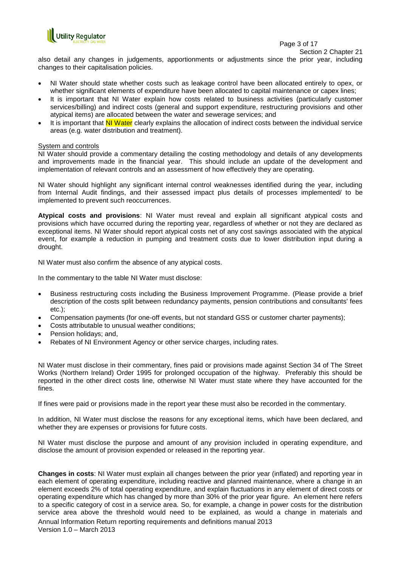

Page 3 of 17

Section 2 Chapter 21

also detail any changes in judgements, apportionments or adjustments since the prior year, including changes to their capitalisation policies.

- NI Water should state whether costs such as leakage control have been allocated entirely to opex, or whether significant elements of expenditure have been allocated to capital maintenance or capex lines;
- It is important that NI Water explain how costs related to business activities (particularly customer services/billing) and indirect costs (general and support expenditure, restructuring provisions and other atypical items) are allocated between the water and sewerage services; and
- It is important that NI Water clearly explains the allocation of indirect costs between the individual service areas (e.g. water distribution and treatment).

# System and controls

NI Water should provide a commentary detailing the costing methodology and details of any developments and improvements made in the financial year. This should include an update of the development and implementation of relevant controls and an assessment of how effectively they are operating.

NI Water should highlight any significant internal control weaknesses identified during the year, including from Internal Audit findings, and their assessed impact plus details of processes implemented/ to be implemented to prevent such reoccurrences.

**Atypical costs and provisions**: NI Water must reveal and explain all significant atypical costs and provisions which have occurred during the reporting year, regardless of whether or not they are declared as exceptional items. NI Water should report atypical costs net of any cost savings associated with the atypical event, for example a reduction in pumping and treatment costs due to lower distribution input during a drought.

NI Water must also confirm the absence of any atypical costs.

In the commentary to the table NI Water must disclose:

- Business restructuring costs including the Business Improvement Programme. (Please provide a brief description of the costs split between redundancy payments, pension contributions and consultants' fees etc.);
- Compensation payments (for one-off events, but not standard GSS or customer charter payments);
- Costs attributable to unusual weather conditions;
- Pension holidays; and,
- Rebates of NI Environment Agency or other service charges, including rates.

NI Water must disclose in their commentary, fines paid or provisions made against Section 34 of The Street Works (Northern Ireland) Order 1995 for prolonged occupation of the highway. Preferably this should be reported in the other direct costs line, otherwise NI Water must state where they have accounted for the fines.

If fines were paid or provisions made in the report year these must also be recorded in the commentary.

In addition, NI Water must disclose the reasons for any exceptional items, which have been declared, and whether they are expenses or provisions for future costs.

NI Water must disclose the purpose and amount of any provision included in operating expenditure, and disclose the amount of provision expended or released in the reporting year.

Annual Information Return reporting requirements and definitions manual 2013 Version 1.0 – March 2013 **Changes in costs**: NI Water must explain all changes between the prior year (inflated) and reporting year in each element of operating expenditure, including reactive and planned maintenance, where a change in an element exceeds 2% of total operating expenditure, and explain fluctuations in any element of direct costs or operating expenditure which has changed by more than 30% of the prior year figure. An element here refers to a specific category of cost in a service area. So, for example, a change in power costs for the distribution service area above the threshold would need to be explained, as would a change in materials and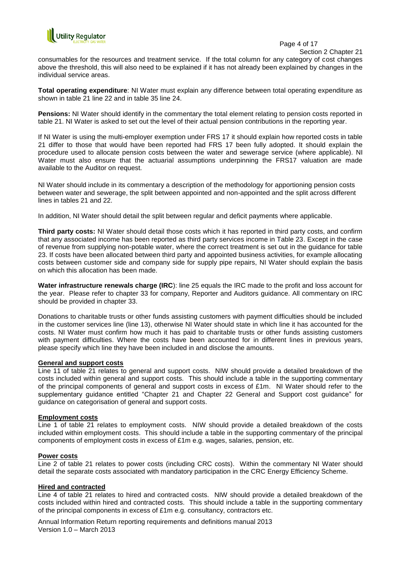

#### Page 4 of 17

Section 2 Chapter 21

consumables for the resources and treatment service. If the total column for any category of cost changes above the threshold, this will also need to be explained if it has not already been explained by changes in the individual service areas.

**Total operating expenditure**: NI Water must explain any difference between total operating expenditure as shown in table 21 line 22 and in table 35 line 24.

**Pensions:** NI Water should identify in the commentary the total element relating to pension costs reported in table 21. NI Water is asked to set out the level of their actual pension contributions in the reporting year.

If NI Water is using the multi-employer exemption under FRS 17 it should explain how reported costs in table 21 differ to those that would have been reported had FRS 17 been fully adopted. It should explain the procedure used to allocate pension costs between the water and sewerage service (where applicable). NI Water must also ensure that the actuarial assumptions underpinning the FRS17 valuation are made available to the Auditor on request.

NI Water should include in its commentary a description of the methodology for apportioning pension costs between water and sewerage, the split between appointed and non-appointed and the split across different lines in tables 21 and 22.

In addition, NI Water should detail the split between regular and deficit payments where applicable.

**Third party costs:** NI Water should detail those costs which it has reported in third party costs, and confirm that any associated income has been reported as third party services income in Table 23. Except in the case of revenue from supplying non-potable water, where the correct treatment is set out in the guidance for table 23. If costs have been allocated between third party and appointed business activities, for example allocating costs between customer side and company side for supply pipe repairs, NI Water should explain the basis on which this allocation has been made.

**Water infrastructure renewals charge (IRC**): line 25 equals the IRC made to the profit and loss account for the year. Please refer to chapter 33 for company, Reporter and Auditors guidance. All commentary on IRC should be provided in chapter 33.

Donations to charitable trusts or other funds assisting customers with payment difficulties should be included in the customer services line (line 13), otherwise NI Water should state in which line it has accounted for the costs. NI Water must confirm how much it has paid to charitable trusts or other funds assisting customers with payment difficulties. Where the costs have been accounted for in different lines in previous years, please specify which line they have been included in and disclose the amounts.

# **General and support costs**

Line 11 of table 21 relates to general and support costs. NIW should provide a detailed breakdown of the costs included within general and support costs. This should include a table in the supporting commentary of the principal components of general and support costs in excess of £1m. NI Water should refer to the supplementary guidance entitled "Chapter 21 and Chapter 22 General and Support cost guidance" for guidance on categorisation of general and support costs.

# **Employment costs**

Line 1 of table 21 relates to employment costs. NIW should provide a detailed breakdown of the costs included within employment costs. This should include a table in the supporting commentary of the principal components of employment costs in excess of £1m e.g. wages, salaries, pension, etc.

# **Power costs**

Line 2 of table 21 relates to power costs (including CRC costs). Within the commentary NI Water should detail the separate costs associated with mandatory participation in the CRC Energy Efficiency Scheme.

# **Hired and contracted**

Line 4 of table 21 relates to hired and contracted costs. NIW should provide a detailed breakdown of the costs included within hired and contracted costs. This should include a table in the supporting commentary of the principal components in excess of  $£1m$  e.g. consultancy, contractors etc.

Annual Information Return reporting requirements and definitions manual 2013 Version 1.0 – March 2013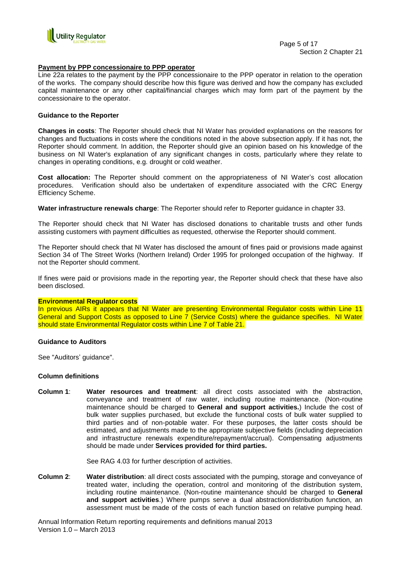

#### **Payment by PPP concessionaire to PPP operator**

Line 22a relates to the payment by the PPP concessionaire to the PPP operator in relation to the operation of the works. The company should describe how this figure was derived and how the company has excluded capital maintenance or any other capital/financial charges which may form part of the payment by the concessionaire to the operator.

#### **Guidance to the Reporter**

**Changes in costs**: The Reporter should check that NI Water has provided explanations on the reasons for changes and fluctuations in costs where the conditions noted in the above subsection apply. If it has not, the Reporter should comment. In addition, the Reporter should give an opinion based on his knowledge of the business on NI Water's explanation of any significant changes in costs, particularly where they relate to changes in operating conditions, e.g. drought or cold weather.

**Cost allocation:** The Reporter should comment on the appropriateness of NI Water"s cost allocation procedures. Verification should also be undertaken of expenditure associated with the CRC Energy Efficiency Scheme.

**Water infrastructure renewals charge**: The Reporter should refer to Reporter guidance in chapter 33.

The Reporter should check that NI Water has disclosed donations to charitable trusts and other funds assisting customers with payment difficulties as requested, otherwise the Reporter should comment.

The Reporter should check that NI Water has disclosed the amount of fines paid or provisions made against Section 34 of The Street Works (Northern Ireland) Order 1995 for prolonged occupation of the highway. If not the Reporter should comment.

If fines were paid or provisions made in the reporting year, the Reporter should check that these have also been disclosed.

#### **Environmental Regulator costs**

In previous AIRs it appears that NI Water are presenting Environmental Regulator costs within Line 11 General and Support Costs as opposed to Line 7 (Service Costs) where the guidance specifies. NI Water should state Environmental Regulator costs within Line 7 of Table 21.

#### **Guidance to Auditors**

See "Auditors' guidance".

#### **Column definitions**

**Column 1**: **Water resources and treatment**: all direct costs associated with the abstraction, conveyance and treatment of raw water, including routine maintenance. (Non-routine maintenance should be charged to **General and support activities.**) Include the cost of bulk water supplies purchased, but exclude the functional costs of bulk water supplied to third parties and of non-potable water. For these purposes, the latter costs should be estimated, and adjustments made to the appropriate subjective fields (including depreciation and infrastructure renewals expenditure/repayment/accrual). Compensating adjustments should be made under **Services provided for third parties.** 

See RAG 4.03 for further description of activities.

**Column 2**: **Water distribution**: all direct costs associated with the pumping, storage and conveyance of treated water, including the operation, control and monitoring of the distribution system, including routine maintenance. (Non-routine maintenance should be charged to **General and support activities**.) Where pumps serve a dual abstraction/distribution function, an assessment must be made of the costs of each function based on relative pumping head.

Annual Information Return reporting requirements and definitions manual 2013 Version 1.0 – March 2013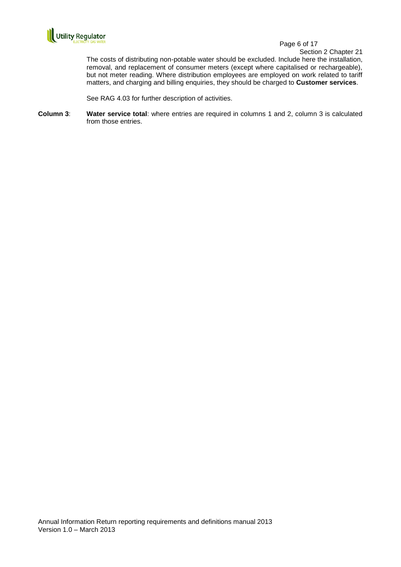

Section 2 Chapter 21

The costs of distributing non-potable water should be excluded. Include here the installation, removal, and replacement of consumer meters (except where capitalised or rechargeable), but not meter reading. Where distribution employees are employed on work related to tariff matters, and charging and billing enquiries, they should be charged to **Customer services**.

See RAG 4.03 for further description of activities.

**Column 3**: **Water service total**: where entries are required in columns 1 and 2, column 3 is calculated from those entries.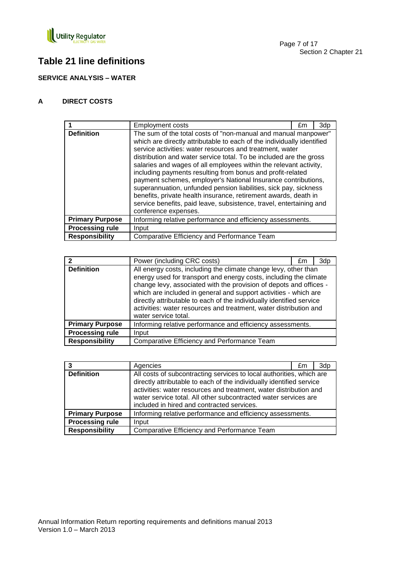

# **Table 21 line definitions**

**SERVICE ANALYSIS – WATER**

# **A DIRECT COSTS**

|                        | Employment costs                                                                                                                                                                                                                                                                                                                                                                                                                                                                                                                                                                                                                                                                                                     | £m | 3dp |
|------------------------|----------------------------------------------------------------------------------------------------------------------------------------------------------------------------------------------------------------------------------------------------------------------------------------------------------------------------------------------------------------------------------------------------------------------------------------------------------------------------------------------------------------------------------------------------------------------------------------------------------------------------------------------------------------------------------------------------------------------|----|-----|
| <b>Definition</b>      | The sum of the total costs of "non-manual and manual manpower"<br>which are directly attributable to each of the individually identified<br>service activities: water resources and treatment, water<br>distribution and water service total. To be included are the gross<br>salaries and wages of all employees within the relevant activity,<br>including payments resulting from bonus and profit-related<br>payment schemes, employer's National Insurance contributions,<br>superannuation, unfunded pension liabilities, sick pay, sickness<br>benefits, private health insurance, retirement awards, death in<br>service benefits, paid leave, subsistence, travel, entertaining and<br>conference expenses. |    |     |
| <b>Primary Purpose</b> | Informing relative performance and efficiency assessments.                                                                                                                                                                                                                                                                                                                                                                                                                                                                                                                                                                                                                                                           |    |     |
| <b>Processing rule</b> | Input                                                                                                                                                                                                                                                                                                                                                                                                                                                                                                                                                                                                                                                                                                                |    |     |
| <b>Responsibility</b>  | Comparative Efficiency and Performance Team                                                                                                                                                                                                                                                                                                                                                                                                                                                                                                                                                                                                                                                                          |    |     |

|                        | Power (including CRC costs)                                                                                                                                                                                                                                                                                                                                                                                                                         | £m |  |
|------------------------|-----------------------------------------------------------------------------------------------------------------------------------------------------------------------------------------------------------------------------------------------------------------------------------------------------------------------------------------------------------------------------------------------------------------------------------------------------|----|--|
| <b>Definition</b>      | All energy costs, including the climate change levy, other than<br>energy used for transport and energy costs, including the climate<br>change levy, associated with the provision of depots and offices -<br>which are included in general and support activities - which are<br>directly attributable to each of the individually identified service<br>activities: water resources and treatment, water distribution and<br>water service total. |    |  |
| <b>Primary Purpose</b> | Informing relative performance and efficiency assessments.                                                                                                                                                                                                                                                                                                                                                                                          |    |  |
| <b>Processing rule</b> | Input                                                                                                                                                                                                                                                                                                                                                                                                                                               |    |  |
| <b>Responsibility</b>  | Comparative Efficiency and Performance Team                                                                                                                                                                                                                                                                                                                                                                                                         |    |  |

|                        | Agencies                                                                                                                                                                                                                                                                                                                           | £m | 3dp |
|------------------------|------------------------------------------------------------------------------------------------------------------------------------------------------------------------------------------------------------------------------------------------------------------------------------------------------------------------------------|----|-----|
| <b>Definition</b>      | All costs of subcontracting services to local authorities, which are<br>directly attributable to each of the individually identified service<br>activities: water resources and treatment, water distribution and<br>water service total. All other subcontracted water services are<br>included in hired and contracted services. |    |     |
| <b>Primary Purpose</b> | Informing relative performance and efficiency assessments.                                                                                                                                                                                                                                                                         |    |     |
| <b>Processing rule</b> | Input                                                                                                                                                                                                                                                                                                                              |    |     |
| <b>Responsibility</b>  | Comparative Efficiency and Performance Team                                                                                                                                                                                                                                                                                        |    |     |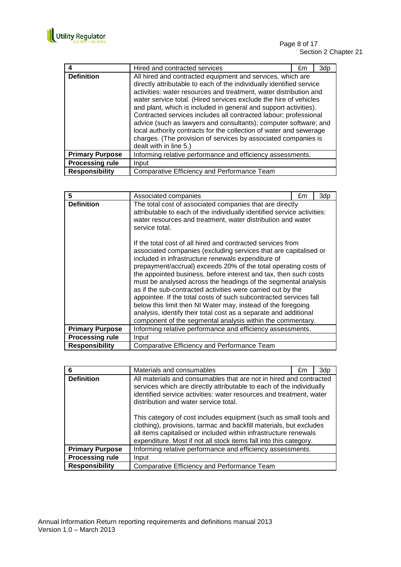

# Page 8 of 17 Section 2 Chapter 21

|                        | Hired and contracted services                                                                                                                                                                                                                                                                                                                                                                                                                                                                                                                                                                                                                              | £m | 3dp |
|------------------------|------------------------------------------------------------------------------------------------------------------------------------------------------------------------------------------------------------------------------------------------------------------------------------------------------------------------------------------------------------------------------------------------------------------------------------------------------------------------------------------------------------------------------------------------------------------------------------------------------------------------------------------------------------|----|-----|
| <b>Definition</b>      | All hired and contracted equipment and services, which are<br>directly attributable to each of the individually identified service<br>activities: water resources and treatment, water distribution and<br>water service total. (Hired services exclude the hire of vehicles<br>and plant, which is included in general and support activities).<br>Contracted services includes all contracted labour; professional<br>advice (such as lawyers and consultants); computer software; and<br>local authority contracts for the collection of water and sewerage<br>charges. (The provision of services by associated companies is<br>dealt with in line 5.) |    |     |
| <b>Primary Purpose</b> | Informing relative performance and efficiency assessments.                                                                                                                                                                                                                                                                                                                                                                                                                                                                                                                                                                                                 |    |     |
| <b>Processing rule</b> | Input                                                                                                                                                                                                                                                                                                                                                                                                                                                                                                                                                                                                                                                      |    |     |
| <b>Responsibility</b>  | Comparative Efficiency and Performance Team                                                                                                                                                                                                                                                                                                                                                                                                                                                                                                                                                                                                                |    |     |

| 5                      | Associated companies                                                                                                                                                                                                                                                                                                                                                                                                                                                                                                                                                                                                                                                                                                                 | £m | 3dp |
|------------------------|--------------------------------------------------------------------------------------------------------------------------------------------------------------------------------------------------------------------------------------------------------------------------------------------------------------------------------------------------------------------------------------------------------------------------------------------------------------------------------------------------------------------------------------------------------------------------------------------------------------------------------------------------------------------------------------------------------------------------------------|----|-----|
| <b>Definition</b>      | The total cost of associated companies that are directly<br>attributable to each of the individually identified service activities:<br>water resources and treatment, water distribution and water<br>service total.                                                                                                                                                                                                                                                                                                                                                                                                                                                                                                                 |    |     |
|                        | If the total cost of all hired and contracted services from<br>associated companies (excluding services that are capitalised or<br>included in infrastructure renewals expenditure of<br>prepayment/accrual) exceeds 20% of the total operating costs of<br>the appointed business, before interest and tax, then such costs<br>must be analysed across the headings of the segmental analysis<br>as if the sub-contracted activities were carried out by the<br>appointee. If the total costs of such subcontracted services fall<br>below this limit then NI Water may, instead of the foregoing<br>analysis, identify their total cost as a separate and additional<br>component of the segmental analysis within the commentary. |    |     |
| <b>Primary Purpose</b> | Informing relative performance and efficiency assessments.                                                                                                                                                                                                                                                                                                                                                                                                                                                                                                                                                                                                                                                                           |    |     |
| <b>Processing rule</b> | Input                                                                                                                                                                                                                                                                                                                                                                                                                                                                                                                                                                                                                                                                                                                                |    |     |
| <b>Responsibility</b>  | Comparative Efficiency and Performance Team                                                                                                                                                                                                                                                                                                                                                                                                                                                                                                                                                                                                                                                                                          |    |     |

|                        | Materials and consumables                                                                                                                                                                                                                                                        | £m | 3dp |
|------------------------|----------------------------------------------------------------------------------------------------------------------------------------------------------------------------------------------------------------------------------------------------------------------------------|----|-----|
| <b>Definition</b>      | All materials and consumables that are not in hired and contracted<br>services which are directly attributable to each of the individually<br>identified service activities: water resources and treatment, water<br>distribution and water service total.                       |    |     |
|                        | This category of cost includes equipment (such as small tools and<br>clothing), provisions, tarmac and backfill materials, but excludes<br>all items capitalised or included within infrastructure renewals<br>expenditure. Most if not all stock items fall into this category. |    |     |
| <b>Primary Purpose</b> | Informing relative performance and efficiency assessments.                                                                                                                                                                                                                       |    |     |
| <b>Processing rule</b> | Input                                                                                                                                                                                                                                                                            |    |     |
| <b>Responsibility</b>  | Comparative Efficiency and Performance Team                                                                                                                                                                                                                                      |    |     |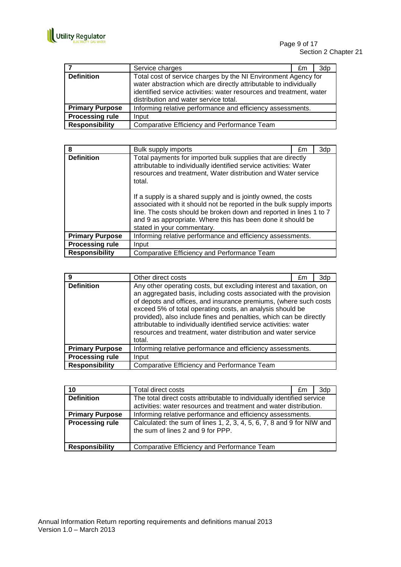

|                        | Service charges                                                                                                                                                                                                                                     | £m | 3dp |
|------------------------|-----------------------------------------------------------------------------------------------------------------------------------------------------------------------------------------------------------------------------------------------------|----|-----|
| <b>Definition</b>      | Total cost of service charges by the NI Environment Agency for<br>water abstraction which are directly attributable to individually<br>identified service activities: water resources and treatment, water<br>distribution and water service total. |    |     |
| <b>Primary Purpose</b> | Informing relative performance and efficiency assessments.                                                                                                                                                                                          |    |     |
| <b>Processing rule</b> | Input                                                                                                                                                                                                                                               |    |     |
| <b>Responsibility</b>  | Comparative Efficiency and Performance Team                                                                                                                                                                                                         |    |     |

| 8                      | Bulk supply imports                                                                                                                                                                                                                                                                                                                                                                                                                                                                                                      | £m | 3dp |
|------------------------|--------------------------------------------------------------------------------------------------------------------------------------------------------------------------------------------------------------------------------------------------------------------------------------------------------------------------------------------------------------------------------------------------------------------------------------------------------------------------------------------------------------------------|----|-----|
| <b>Definition</b>      | Total payments for imported bulk supplies that are directly<br>attributable to individually identified service activities: Water<br>resources and treatment, Water distribution and Water service<br>total.<br>If a supply is a shared supply and is jointly owned, the costs<br>associated with it should not be reported in the bulk supply imports<br>line. The costs should be broken down and reported in lines 1 to 7<br>and 9 as appropriate. Where this has been done it should be<br>stated in your commentary. |    |     |
| <b>Primary Purpose</b> | Informing relative performance and efficiency assessments.                                                                                                                                                                                                                                                                                                                                                                                                                                                               |    |     |
| <b>Processing rule</b> | Input                                                                                                                                                                                                                                                                                                                                                                                                                                                                                                                    |    |     |
| <b>Responsibility</b>  | Comparative Efficiency and Performance Team                                                                                                                                                                                                                                                                                                                                                                                                                                                                              |    |     |

| 9                      | Other direct costs                                                                                                                                                                                                                                                                                                                                                                                                                                                                              | £m | 3dp |
|------------------------|-------------------------------------------------------------------------------------------------------------------------------------------------------------------------------------------------------------------------------------------------------------------------------------------------------------------------------------------------------------------------------------------------------------------------------------------------------------------------------------------------|----|-----|
| <b>Definition</b>      | Any other operating costs, but excluding interest and taxation, on<br>an aggregated basis, including costs associated with the provision<br>of depots and offices, and insurance premiums, (where such costs<br>exceed 5% of total operating costs, an analysis should be<br>provided), also include fines and penalties, which can be directly<br>attributable to individually identified service activities: water<br>resources and treatment, water distribution and water service<br>total. |    |     |
| <b>Primary Purpose</b> | Informing relative performance and efficiency assessments.                                                                                                                                                                                                                                                                                                                                                                                                                                      |    |     |
| <b>Processing rule</b> | Input                                                                                                                                                                                                                                                                                                                                                                                                                                                                                           |    |     |
| <b>Responsibility</b>  | Comparative Efficiency and Performance Team                                                                                                                                                                                                                                                                                                                                                                                                                                                     |    |     |

| 10                     | <b>Total direct costs</b>                                                                                                                   | £m | 3dp |
|------------------------|---------------------------------------------------------------------------------------------------------------------------------------------|----|-----|
| <b>Definition</b>      | The total direct costs attributable to individually identified service<br>activities: water resources and treatment and water distribution. |    |     |
| <b>Primary Purpose</b> | Informing relative performance and efficiency assessments.                                                                                  |    |     |
| <b>Processing rule</b> | Calculated: the sum of lines 1, 2, 3, 4, 5, 6, 7, 8 and 9 for NIW and<br>the sum of lines 2 and 9 for PPP.                                  |    |     |
| <b>Responsibility</b>  | Comparative Efficiency and Performance Team                                                                                                 |    |     |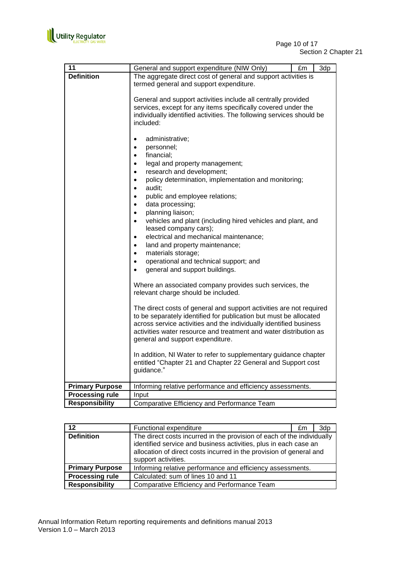

| 12                     | Functional expenditure                                                                                                                                                                                                                   | £m | 3dp |
|------------------------|------------------------------------------------------------------------------------------------------------------------------------------------------------------------------------------------------------------------------------------|----|-----|
| <b>Definition</b>      | The direct costs incurred in the provision of each of the individually<br>identified service and business activities, plus in each case an<br>allocation of direct costs incurred in the provision of general and<br>support activities. |    |     |
| <b>Primary Purpose</b> | Informing relative performance and efficiency assessments.                                                                                                                                                                               |    |     |
| <b>Processing rule</b> | Calculated: sum of lines 10 and 11                                                                                                                                                                                                       |    |     |
| <b>Responsibility</b>  | Comparative Efficiency and Performance Team                                                                                                                                                                                              |    |     |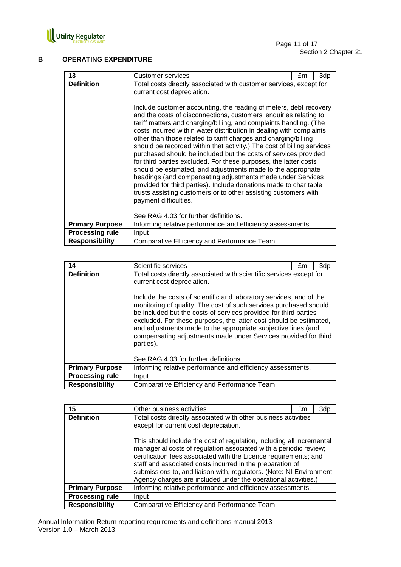

# **B OPERATING EXPENDITURE**

| 13                     | Customer services                                                                                                                                                                                                                                                                                                                                                                                                                                                                                                                                                                                                                                                                                                                                                                                                                                                                                                                                                                                                   | £m | 3dp |
|------------------------|---------------------------------------------------------------------------------------------------------------------------------------------------------------------------------------------------------------------------------------------------------------------------------------------------------------------------------------------------------------------------------------------------------------------------------------------------------------------------------------------------------------------------------------------------------------------------------------------------------------------------------------------------------------------------------------------------------------------------------------------------------------------------------------------------------------------------------------------------------------------------------------------------------------------------------------------------------------------------------------------------------------------|----|-----|
| <b>Definition</b>      | Total costs directly associated with customer services, except for<br>current cost depreciation.<br>Include customer accounting, the reading of meters, debt recovery<br>and the costs of disconnections, customers' enquiries relating to<br>tariff matters and charging/billing, and complaints handling. (The<br>costs incurred within water distribution in dealing with complaints<br>other than those related to tariff charges and charging/billing<br>should be recorded within that activity.) The cost of billing services<br>purchased should be included but the costs of services provided<br>for third parties excluded. For these purposes, the latter costs<br>should be estimated, and adjustments made to the appropriate<br>headings (and compensating adjustments made under Services<br>provided for third parties). Include donations made to charitable<br>trusts assisting customers or to other assisting customers with<br>payment difficulties.<br>See RAG 4.03 for further definitions. |    |     |
| <b>Primary Purpose</b> | Informing relative performance and efficiency assessments.                                                                                                                                                                                                                                                                                                                                                                                                                                                                                                                                                                                                                                                                                                                                                                                                                                                                                                                                                          |    |     |
| <b>Processing rule</b> | Input                                                                                                                                                                                                                                                                                                                                                                                                                                                                                                                                                                                                                                                                                                                                                                                                                                                                                                                                                                                                               |    |     |
| <b>Responsibility</b>  | Comparative Efficiency and Performance Team                                                                                                                                                                                                                                                                                                                                                                                                                                                                                                                                                                                                                                                                                                                                                                                                                                                                                                                                                                         |    |     |

| 14                     | Scientific services                                                                                                                                                                                                                                                                                                                                                                                                                                                                                                                      | £m | 3d <sub>p</sub> |
|------------------------|------------------------------------------------------------------------------------------------------------------------------------------------------------------------------------------------------------------------------------------------------------------------------------------------------------------------------------------------------------------------------------------------------------------------------------------------------------------------------------------------------------------------------------------|----|-----------------|
| <b>Definition</b>      | Total costs directly associated with scientific services except for<br>current cost depreciation.<br>Include the costs of scientific and laboratory services, and of the<br>monitoring of quality. The cost of such services purchased should<br>be included but the costs of services provided for third parties<br>excluded. For these purposes, the latter cost should be estimated,<br>and adjustments made to the appropriate subjective lines (and<br>compensating adjustments made under Services provided for third<br>parties). |    |                 |
|                        | See RAG 4.03 for further definitions.                                                                                                                                                                                                                                                                                                                                                                                                                                                                                                    |    |                 |
| <b>Primary Purpose</b> | Informing relative performance and efficiency assessments.                                                                                                                                                                                                                                                                                                                                                                                                                                                                               |    |                 |
| <b>Processing rule</b> | Input                                                                                                                                                                                                                                                                                                                                                                                                                                                                                                                                    |    |                 |
| <b>Responsibility</b>  | Comparative Efficiency and Performance Team                                                                                                                                                                                                                                                                                                                                                                                                                                                                                              |    |                 |

| 15                     | Other business activities                                                                                                                                                                                                                                                                                                                                                                                            | £m | 3dp |
|------------------------|----------------------------------------------------------------------------------------------------------------------------------------------------------------------------------------------------------------------------------------------------------------------------------------------------------------------------------------------------------------------------------------------------------------------|----|-----|
| <b>Definition</b>      | Total costs directly associated with other business activities<br>except for current cost depreciation.                                                                                                                                                                                                                                                                                                              |    |     |
|                        | This should include the cost of regulation, including all incremental<br>managerial costs of regulation associated with a periodic review;<br>certification fees associated with the Licence requirements; and<br>staff and associated costs incurred in the preparation of<br>submissions to, and liaison with, regulators. (Note: NI Environment<br>Agency charges are included under the operational activities.) |    |     |
| <b>Primary Purpose</b> | Informing relative performance and efficiency assessments.                                                                                                                                                                                                                                                                                                                                                           |    |     |
| <b>Processing rule</b> | Input                                                                                                                                                                                                                                                                                                                                                                                                                |    |     |
| <b>Responsibility</b>  | Comparative Efficiency and Performance Team                                                                                                                                                                                                                                                                                                                                                                          |    |     |

Annual Information Return reporting requirements and definitions manual 2013 Version 1.0 – March 2013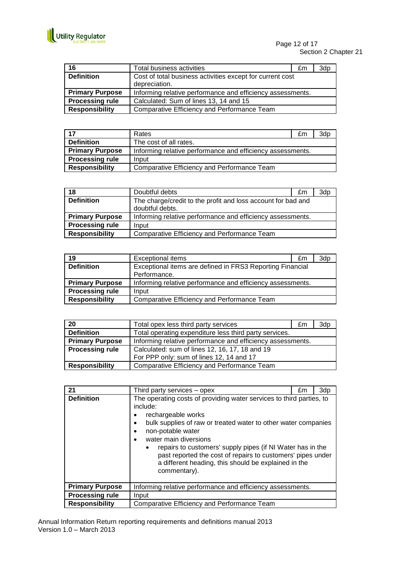

| 16                     | Total business activities                                  | £m | 3dp |
|------------------------|------------------------------------------------------------|----|-----|
| <b>Definition</b>      | Cost of total business activities except for current cost  |    |     |
|                        | depreciation.                                              |    |     |
| <b>Primary Purpose</b> | Informing relative performance and efficiency assessments. |    |     |
| <b>Processing rule</b> | Calculated: Sum of lines 13, 14 and 15                     |    |     |
| <b>Responsibility</b>  | Comparative Efficiency and Performance Team                |    |     |

| 17                     | Rates                                                      | £m | 3dp |
|------------------------|------------------------------------------------------------|----|-----|
| <b>Definition</b>      | The cost of all rates.                                     |    |     |
| <b>Primary Purpose</b> | Informing relative performance and efficiency assessments. |    |     |
| <b>Processing rule</b> | Input                                                      |    |     |
| <b>Responsibility</b>  | Comparative Efficiency and Performance Team                |    |     |

| 18                     | Doubtful debts                                               | £m | 3dp |
|------------------------|--------------------------------------------------------------|----|-----|
| <b>Definition</b>      | The charge/credit to the profit and loss account for bad and |    |     |
|                        | doubtful debts.                                              |    |     |
| <b>Primary Purpose</b> | Informing relative performance and efficiency assessments.   |    |     |
| <b>Processing rule</b> | Input                                                        |    |     |
| <b>Responsibility</b>  | Comparative Efficiency and Performance Team                  |    |     |

| 19                     | <b>Exceptional items</b>                                   | £m | 3dp |
|------------------------|------------------------------------------------------------|----|-----|
| <b>Definition</b>      | Exceptional items are defined in FRS3 Reporting Financial  |    |     |
|                        | Performance.                                               |    |     |
| <b>Primary Purpose</b> | Informing relative performance and efficiency assessments. |    |     |
| <b>Processing rule</b> | Input                                                      |    |     |
| <b>Responsibility</b>  | Comparative Efficiency and Performance Team                |    |     |

| 20                     | Total opex less third party services                       | £m | 3d <sub>p</sub> |
|------------------------|------------------------------------------------------------|----|-----------------|
| <b>Definition</b>      | Total operating expenditure less third party services.     |    |                 |
| <b>Primary Purpose</b> | Informing relative performance and efficiency assessments. |    |                 |
| <b>Processing rule</b> | Calculated: sum of lines 12, 16, 17, 18 and 19             |    |                 |
|                        | For PPP only: sum of lines 12, 14 and 17                   |    |                 |
| <b>Responsibility</b>  | Comparative Efficiency and Performance Team                |    |                 |

| 21                     | Third party services – opex                                                                                                                                                                                                                                                                                                                                                                                                                                                          | £m | 3dp |
|------------------------|--------------------------------------------------------------------------------------------------------------------------------------------------------------------------------------------------------------------------------------------------------------------------------------------------------------------------------------------------------------------------------------------------------------------------------------------------------------------------------------|----|-----|
| <b>Definition</b>      | The operating costs of providing water services to third parties, to<br>include:<br>rechargeable works<br>٠<br>bulk supplies of raw or treated water to other water companies<br>$\bullet$<br>non-potable water<br>$\bullet$<br>water main diversions<br>$\bullet$<br>repairs to customers' supply pipes (if NI Water has in the<br>$\bullet$<br>past reported the cost of repairs to customers' pipes under<br>a different heading, this should be explained in the<br>commentary). |    |     |
| <b>Primary Purpose</b> | Informing relative performance and efficiency assessments.                                                                                                                                                                                                                                                                                                                                                                                                                           |    |     |
| <b>Processing rule</b> | Input                                                                                                                                                                                                                                                                                                                                                                                                                                                                                |    |     |
| <b>Responsibility</b>  | Comparative Efficiency and Performance Team                                                                                                                                                                                                                                                                                                                                                                                                                                          |    |     |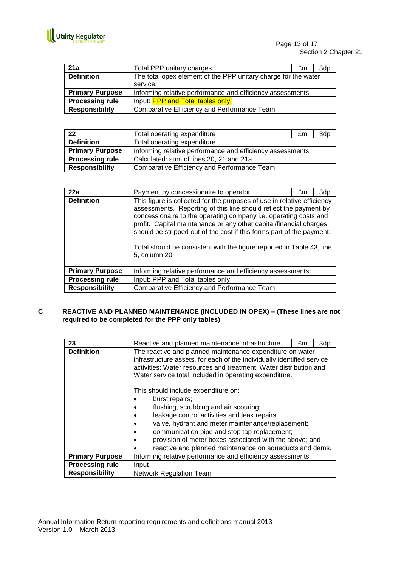

| 21a                    | Total PPP unitary charges                                      | £m | 3dp |
|------------------------|----------------------------------------------------------------|----|-----|
| <b>Definition</b>      | The total opex element of the PPP unitary charge for the water |    |     |
|                        | service.                                                       |    |     |
| <b>Primary Purpose</b> | Informing relative performance and efficiency assessments.     |    |     |
| <b>Processing rule</b> | Input: <b>PPP and Total tables only.</b>                       |    |     |
| <b>Responsibility</b>  | Comparative Efficiency and Performance Team                    |    |     |

| 22                     | Total operating expenditure                                | £m | 3dp |
|------------------------|------------------------------------------------------------|----|-----|
| <b>Definition</b>      | Total operating expenditure                                |    |     |
| <b>Primary Purpose</b> | Informing relative performance and efficiency assessments. |    |     |
| <b>Processing rule</b> | Calculated: sum of lines 20, 21 and 21a.                   |    |     |
| <b>Responsibility</b>  | Comparative Efficiency and Performance Team                |    |     |

| 22a                    | Payment by concessionaire to operator                                                                                                                                                                                                                                                                                                                                                                                                                    | £m | 3dp |
|------------------------|----------------------------------------------------------------------------------------------------------------------------------------------------------------------------------------------------------------------------------------------------------------------------------------------------------------------------------------------------------------------------------------------------------------------------------------------------------|----|-----|
| <b>Definition</b>      | This figure is collected for the purposes of use in relative efficiency<br>assessments. Reporting of this line should reflect the payment by<br>concessionaire to the operating company i.e. operating costs and<br>profit. Capital maintenance or any other capital/financial charges<br>should be stripped out of the cost if this forms part of the payment.<br>Total should be consistent with the figure reported in Table 43, line<br>5, column 20 |    |     |
| <b>Primary Purpose</b> | Informing relative performance and efficiency assessments.                                                                                                                                                                                                                                                                                                                                                                                               |    |     |
| <b>Processing rule</b> | Input: PPP and Total tables only                                                                                                                                                                                                                                                                                                                                                                                                                         |    |     |
| <b>Responsibility</b>  | Comparative Efficiency and Performance Team                                                                                                                                                                                                                                                                                                                                                                                                              |    |     |

# **C REACTIVE AND PLANNED MAINTENANCE (INCLUDED IN OPEX) – (These lines are not required to be completed for the PPP only tables)**

| 23                     | Reactive and planned maintenance infrastructure                                                                                                                                                                                                                                                                                                                           | £m | 3dp |  |
|------------------------|---------------------------------------------------------------------------------------------------------------------------------------------------------------------------------------------------------------------------------------------------------------------------------------------------------------------------------------------------------------------------|----|-----|--|
| <b>Definition</b>      | The reactive and planned maintenance expenditure on water<br>infrastructure assets, for each of the individually identified service<br>activities: Water resources and treatment, Water distribution and<br>Water service total included in operating expenditure.                                                                                                        |    |     |  |
|                        | This should include expenditure on:<br>burst repairs;<br>flushing, scrubbing and air scouring;<br>leakage control activities and leak repairs;<br>valve, hydrant and meter maintenance/replacement;<br>communication pipe and stop tap replacement;<br>provision of meter boxes associated with the above; and<br>reactive and planned maintenance on aqueducts and dams. |    |     |  |
| <b>Primary Purpose</b> | Informing relative performance and efficiency assessments.                                                                                                                                                                                                                                                                                                                |    |     |  |
| <b>Processing rule</b> | Input                                                                                                                                                                                                                                                                                                                                                                     |    |     |  |
| <b>Responsibility</b>  | <b>Network Regulation Team</b>                                                                                                                                                                                                                                                                                                                                            |    |     |  |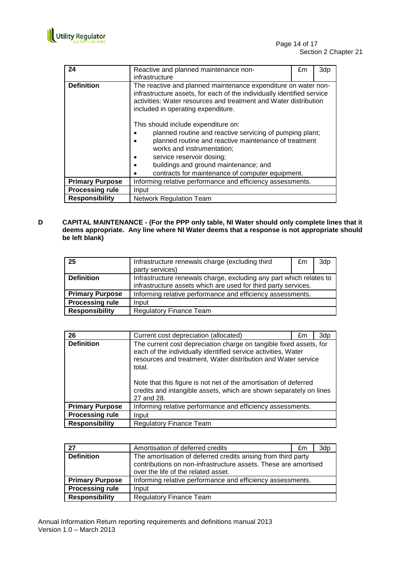

| 24                     | Reactive and planned maintenance non-                                                                                                                                                                                                                                                                                              | £m | 3dp |  |
|------------------------|------------------------------------------------------------------------------------------------------------------------------------------------------------------------------------------------------------------------------------------------------------------------------------------------------------------------------------|----|-----|--|
|                        | infrastructure                                                                                                                                                                                                                                                                                                                     |    |     |  |
| <b>Definition</b>      | The reactive and planned maintenance expenditure on water non-<br>infrastructure assets, for each of the individually identified service<br>activities: Water resources and treatment and Water distribution<br>included in operating expenditure.                                                                                 |    |     |  |
|                        | This should include expenditure on:<br>planned routine and reactive servicing of pumping plant;<br>planned routine and reactive maintenance of treatment<br>works and instrumentation;<br>service reservoir dosing;<br>٠<br>buildings and ground maintenance; and<br>$\bullet$<br>contracts for maintenance of computer equipment. |    |     |  |
| <b>Primary Purpose</b> | Informing relative performance and efficiency assessments.                                                                                                                                                                                                                                                                         |    |     |  |
| <b>Processing rule</b> | Input                                                                                                                                                                                                                                                                                                                              |    |     |  |
| <b>Responsibility</b>  | <b>Network Regulation Team</b>                                                                                                                                                                                                                                                                                                     |    |     |  |

**D CAPITAL MAINTENANCE - (For the PPP only table, NI Water should only complete lines that it deems appropriate. Any line where NI Water deems that a response is not appropriate should be left blank)**

| 25                     | Infrastructure renewals charge (excluding third                     | £m | 3dp |
|------------------------|---------------------------------------------------------------------|----|-----|
|                        | party services)                                                     |    |     |
| <b>Definition</b>      | Infrastructure renewals charge, excluding any part which relates to |    |     |
|                        | infrastructure assets which are used for third party services.      |    |     |
| <b>Primary Purpose</b> | Informing relative performance and efficiency assessments.          |    |     |
| <b>Processing rule</b> | Input                                                               |    |     |
| <b>Responsibility</b>  | <b>Regulatory Finance Team</b>                                      |    |     |

| 26                     | Current cost depreciation (allocated)                                                                                                                                                                                                                                                                                                                                  | £m | 3dp |
|------------------------|------------------------------------------------------------------------------------------------------------------------------------------------------------------------------------------------------------------------------------------------------------------------------------------------------------------------------------------------------------------------|----|-----|
| <b>Definition</b>      | The current cost depreciation charge on tangible fixed assets, for<br>each of the individually identified service activities, Water<br>resources and treatment, Water distribution and Water service<br>total.<br>Note that this figure is not net of the amortisation of deferred<br>credits and intangible assets, which are shown separately on lines<br>27 and 28. |    |     |
| <b>Primary Purpose</b> | Informing relative performance and efficiency assessments.                                                                                                                                                                                                                                                                                                             |    |     |
| <b>Processing rule</b> | Input                                                                                                                                                                                                                                                                                                                                                                  |    |     |
| <b>Responsibility</b>  | <b>Regulatory Finance Team</b>                                                                                                                                                                                                                                                                                                                                         |    |     |

| 27                     | Amortisation of deferred credits                                                                                                                                        | £m | 3dp |
|------------------------|-------------------------------------------------------------------------------------------------------------------------------------------------------------------------|----|-----|
| <b>Definition</b>      | The amortisation of deferred credits arising from third party<br>contributions on non-infrastructure assets. These are amortised<br>over the life of the related asset. |    |     |
| <b>Primary Purpose</b> | Informing relative performance and efficiency assessments.                                                                                                              |    |     |
| <b>Processing rule</b> | Input                                                                                                                                                                   |    |     |
| <b>Responsibility</b>  | <b>Regulatory Finance Team</b>                                                                                                                                          |    |     |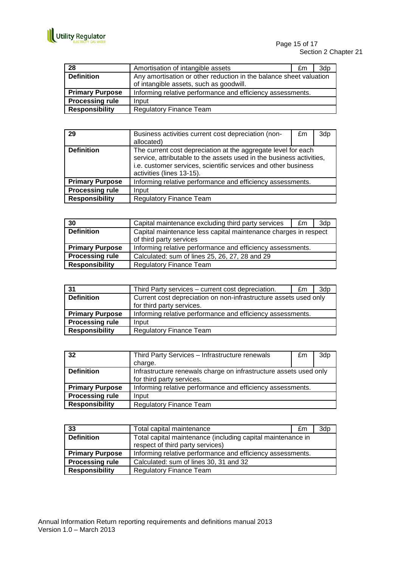

| 28                     | Amortisation of intangible assets                                  | £m | 3dp |
|------------------------|--------------------------------------------------------------------|----|-----|
| <b>Definition</b>      | Any amortisation or other reduction in the balance sheet valuation |    |     |
|                        | of intangible assets, such as goodwill.                            |    |     |
| <b>Primary Purpose</b> | Informing relative performance and efficiency assessments.         |    |     |
| <b>Processing rule</b> | Input                                                              |    |     |
| <b>Responsibility</b>  | <b>Regulatory Finance Team</b>                                     |    |     |

| 29                     | Business activities current cost depreciation (non-<br>allocated)                                                                                                                                                                    | £m | 3dp |
|------------------------|--------------------------------------------------------------------------------------------------------------------------------------------------------------------------------------------------------------------------------------|----|-----|
| <b>Definition</b>      | The current cost depreciation at the aggregate level for each<br>service, attributable to the assets used in the business activities,<br>i.e. customer services, scientific services and other business<br>activities (lines 13-15). |    |     |
| <b>Primary Purpose</b> | Informing relative performance and efficiency assessments.                                                                                                                                                                           |    |     |
| <b>Processing rule</b> | Input                                                                                                                                                                                                                                |    |     |
| <b>Responsibility</b>  | <b>Regulatory Finance Team</b>                                                                                                                                                                                                       |    |     |

| 30                     | Capital maintenance excluding third party services              | £m | 3dp |
|------------------------|-----------------------------------------------------------------|----|-----|
| <b>Definition</b>      | Capital maintenance less capital maintenance charges in respect |    |     |
|                        | of third party services                                         |    |     |
| <b>Primary Purpose</b> | Informing relative performance and efficiency assessments.      |    |     |
| <b>Processing rule</b> | Calculated: sum of lines 25, 26, 27, 28 and 29                  |    |     |
| <b>Responsibility</b>  | <b>Regulatory Finance Team</b>                                  |    |     |

| 31                     | Third Party services – current cost depreciation.                | £m | 3dp |
|------------------------|------------------------------------------------------------------|----|-----|
| <b>Definition</b>      | Current cost depreciation on non-infrastructure assets used only |    |     |
|                        | for third party services.                                        |    |     |
| <b>Primary Purpose</b> | Informing relative performance and efficiency assessments.       |    |     |
| <b>Processing rule</b> | Input                                                            |    |     |
| <b>Responsibility</b>  | <b>Regulatory Finance Team</b>                                   |    |     |

| 32                     | Third Party Services - Infrastructure renewals                    | £m | 3dp |
|------------------------|-------------------------------------------------------------------|----|-----|
|                        | charge.                                                           |    |     |
| <b>Definition</b>      | Infrastructure renewals charge on infrastructure assets used only |    |     |
|                        | for third party services.                                         |    |     |
| <b>Primary Purpose</b> | Informing relative performance and efficiency assessments.        |    |     |
| <b>Processing rule</b> | Input                                                             |    |     |
| <b>Responsibility</b>  | <b>Regulatory Finance Team</b>                                    |    |     |

| 33                     | Total capital maintenance                                                                       | £m | 3dp |
|------------------------|-------------------------------------------------------------------------------------------------|----|-----|
| <b>Definition</b>      | Total capital maintenance (including capital maintenance in<br>respect of third party services) |    |     |
| <b>Primary Purpose</b> | Informing relative performance and efficiency assessments.                                      |    |     |
| <b>Processing rule</b> | Calculated: sum of lines 30, 31 and 32                                                          |    |     |
| <b>Responsibility</b>  | <b>Regulatory Finance Team</b>                                                                  |    |     |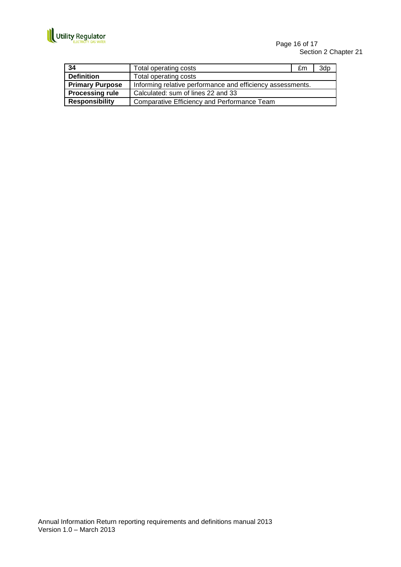

Page 16 of 17 Section 2 Chapter 21

| 34                     | Total operating costs                                      | £m | 3d <sub>p</sub> |
|------------------------|------------------------------------------------------------|----|-----------------|
| <b>Definition</b>      | Total operating costs                                      |    |                 |
| <b>Primary Purpose</b> | Informing relative performance and efficiency assessments. |    |                 |
| <b>Processing rule</b> | Calculated: sum of lines 22 and 33                         |    |                 |
| <b>Responsibility</b>  | Comparative Efficiency and Performance Team                |    |                 |